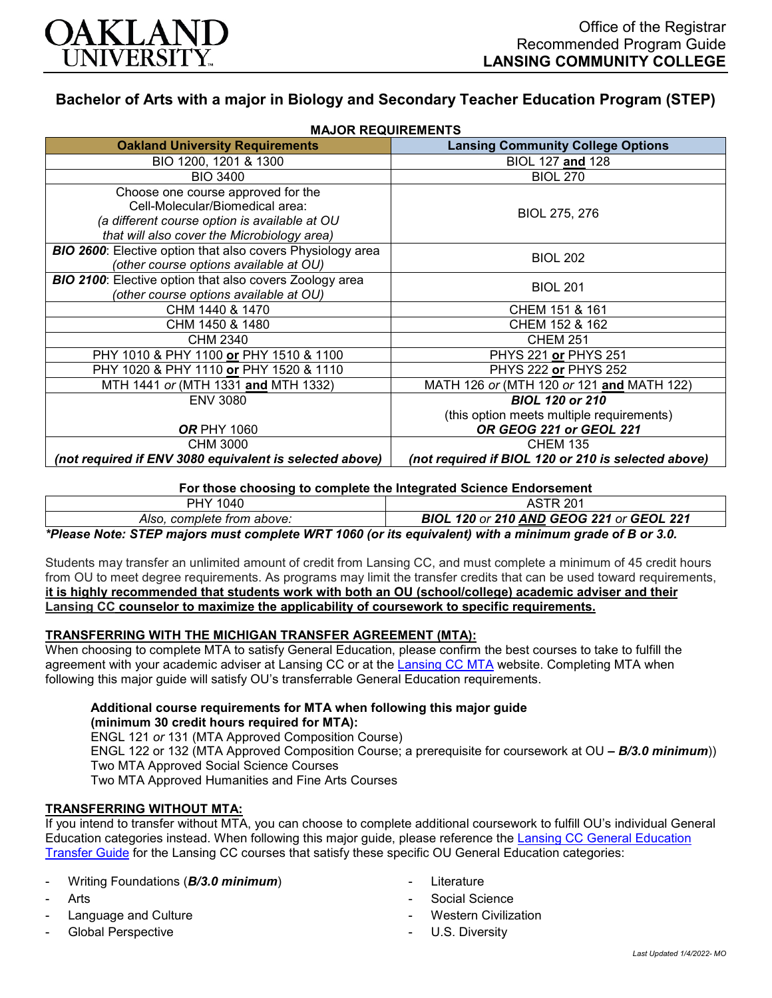

# **Bachelor of Arts with a major in Biology and Secondary Teacher Education Program (STEP)**

| <b>MAJOR REQUIREMENTS</b>                                         |                                                     |
|-------------------------------------------------------------------|-----------------------------------------------------|
| <b>Oakland University Requirements</b>                            | <b>Lansing Community College Options</b>            |
| BIO 1200, 1201 & 1300                                             | BIOL 127 and 128                                    |
| <b>BIO 3400</b>                                                   | <b>BIOL 270</b>                                     |
| Choose one course approved for the                                |                                                     |
| Cell-Molecular/Biomedical area:                                   | BIOL 275, 276                                       |
| (a different course option is available at OU                     |                                                     |
| that will also cover the Microbiology area)                       |                                                     |
| <b>BIO 2600:</b> Elective option that also covers Physiology area | <b>BIOL 202</b>                                     |
| (other course options available at OU)                            |                                                     |
| <b>BIO 2100:</b> Elective option that also covers Zoology area    | <b>BIOL 201</b>                                     |
| (other course options available at OU)                            |                                                     |
| CHM 1440 & 1470                                                   | CHEM 151 & 161                                      |
| CHM 1450 & 1480                                                   | CHEM 152 & 162                                      |
| CHM 2340                                                          | <b>CHEM 251</b>                                     |
| PHY 1010 & PHY 1100 or PHY 1510 & 1100                            | PHYS 221 or PHYS 251                                |
| PHY 1020 & PHY 1110 or PHY 1520 & 1110                            | PHYS 222 or PHYS 252                                |
| MTH 1441 or (MTH 1331 and MTH 1332)                               | MATH 126 or (MTH 120 or 121 and MATH 122)           |
| <b>ENV 3080</b>                                                   | <b>BIOL 120 or 210</b>                              |
|                                                                   | (this option meets multiple requirements)           |
| <b>OR PHY 1060</b>                                                | OR GEOG 221 or GEOL 221                             |
| <b>CHM 3000</b>                                                   | <b>CHEM 135</b>                                     |
| (not required if ENV 3080 equivalent is selected above)           | (not required if BIOL 120 or 210 is selected above) |

**For those choosing to complete the Integrated Science Endorsement**

| 1040<br>DHV.                    | AC                                              |
|---------------------------------|-------------------------------------------------|
| . complete from above:<br>AIso. | <b>BIOL 120 or 210 AND GEOG 221 or GEOL 221</b> |
|                                 |                                                 |

*\*Please Note: STEP majors must complete WRT 1060 (or its equivalent) with a minimum grade of B or 3.0.*

Students may transfer an unlimited amount of credit from Lansing CC, and must complete a minimum of 45 credit hours from OU to meet degree requirements. As programs may limit the transfer credits that can be used toward requirements, **it is highly recommended that students work with both an OU (school/college) academic adviser and their Lansing CC counselor to maximize the applicability of coursework to specific requirements.**

# **TRANSFERRING WITH THE MICHIGAN TRANSFER AGREEMENT (MTA):**

When choosing to complete MTA to satisfy General Education, please confirm the best courses to take to fulfill the agreement with your academic adviser at Lansing CC or at the [Lansing CC MTA](https://www.lcc.edu/academics/transfer/mta.html) website. Completing MTA when following this major guide will satisfy OU's transferrable General Education requirements.

#### **Additional course requirements for MTA when following this major guide (minimum 30 credit hours required for MTA):**

ENGL 121 *or* 131 (MTA Approved Composition Course)

ENGL 122 or 132 (MTA Approved Composition Course; a prerequisite for coursework at OU *– B/3.0 minimum*)) Two MTA Approved Social Science Courses

Two MTA Approved Humanities and Fine Arts Courses

# **TRANSFERRING WITHOUT MTA:**

If you intend to transfer without MTA, you can choose to complete additional coursework to fulfill OU's individual General Education categories instead. When following this major guide, please reference the [Lansing CC General Education](https://www.oakland.edu/Assets/Oakland/program-guides/lansing-community-college/university-general-education-requirements/Lansing%20Gen%20Ed.pdf)  [Transfer Guide](https://www.oakland.edu/Assets/Oakland/program-guides/lansing-community-college/university-general-education-requirements/Lansing%20Gen%20Ed.pdf) for the Lansing CC courses that satisfy these specific OU General Education categories:

- Writing Foundations (*B/3.0 minimum*)
- **Arts**
- Language and Culture
- Global Perspective
- **Literature**
- Social Science
- **Western Civilization**
- U.S. Diversity